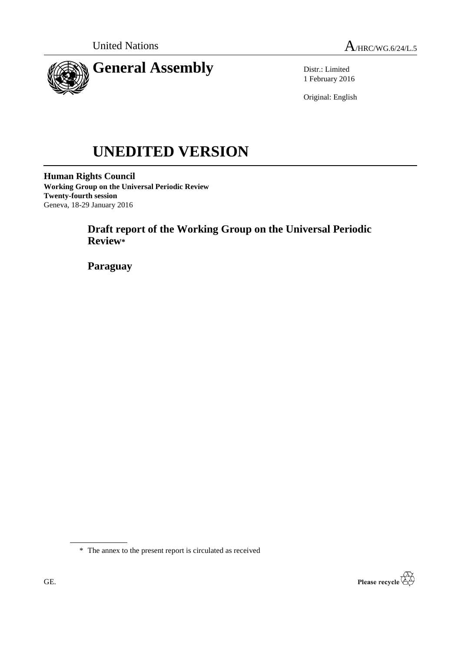

Distr.: Limited 1 February 2016

Original: English

# **UNEDITED VERSION**

**Human Rights Council Working Group on the Universal Periodic Review Twenty-fourth session** Geneva, 18-29 January 2016

> **Draft report of the Working Group on the Universal Periodic Review\***

**Paraguay**

\* The annex to the present report is circulated as received

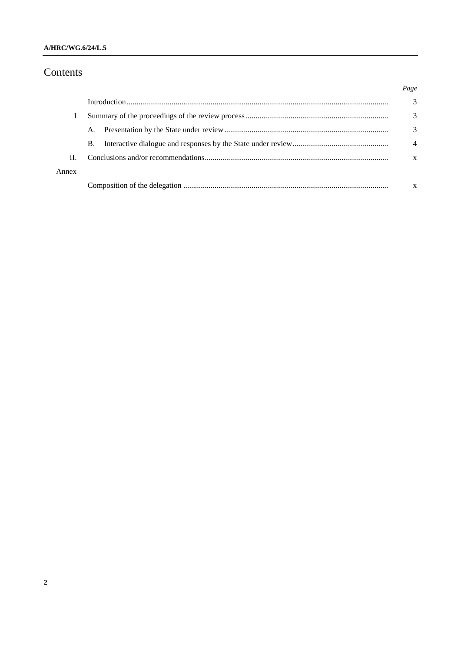### A/HRC/WG.6/24/L.5

# Contents

|       |    | Page           |
|-------|----|----------------|
|       |    | 3              |
|       |    | 3              |
|       | A. | 3              |
|       | В. | $\overline{4}$ |
| Н.    |    | X              |
| Annex |    |                |
|       |    |                |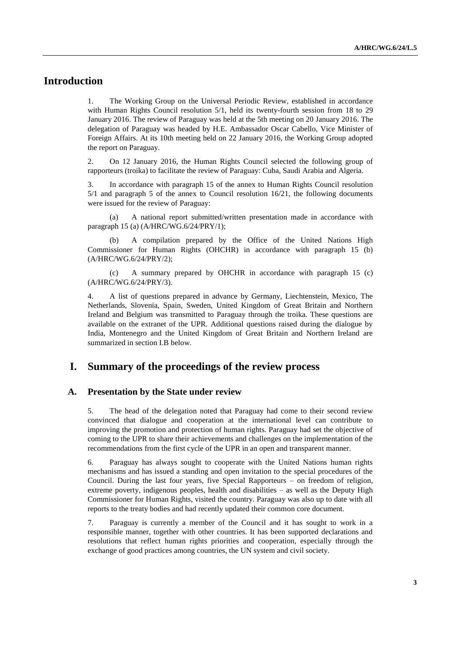## **Introduction**

1. The Working Group on the Universal Periodic Review, established in accordance with Human Rights Council resolution 5/1, held its twenty-fourth session from 18 to 29 January 2016. The review of Paraguay was held at the 5th meeting on 20 January 2016. The delegation of Paraguay was headed by H.E. Ambassador Oscar Cabello, Vice Minister of Foreign Affairs. At its 10th meeting held on 22 January 2016, the Working Group adopted the report on Paraguay.

2. On 12 January 2016, the Human Rights Council selected the following group of rapporteurs (troika) to facilitate the review of Paraguay: Cuba, Saudi Arabia and Algeria.

3. In accordance with paragraph 15 of the annex to Human Rights Council resolution 5/1 and paragraph 5 of the annex to Council resolution 16/21, the following documents were issued for the review of Paraguay:

(a) A national report submitted/written presentation made in accordance with paragraph 15 (a) (A/HRC/WG.6/24/PRY/1);

(b) A compilation prepared by the Office of the United Nations High Commissioner for Human Rights (OHCHR) in accordance with paragraph 15 (b) (A/HRC/WG.6/24/PRY/2);

(c) A summary prepared by OHCHR in accordance with paragraph 15 (c) (A/HRC/WG.6/24/PRY/3).

4. A list of questions prepared in advance by Germany, Liechtenstein, Mexico, The Netherlands, Slovenia, Spain, Sweden, United Kingdom of Great Britain and Northern Ireland and Belgium was transmitted to Paraguay through the troika. These questions are available on the extranet of the UPR. Additional questions raised during the dialogue by India, Montenegro and the United Kingdom of Great Britain and Northern Ireland are summarized in section I.B below.

## **I. Summary of the proceedings of the review process**

#### **A. Presentation by the State under review**

5. The head of the delegation noted that Paraguay had come to their second review convinced that dialogue and cooperation at the international level can contribute to improving the promotion and protection of human rights. Paraguay had set the objective of coming to the UPR to share their achievements and challenges on the implementation of the recommendations from the first cycle of the UPR in an open and transparent manner.

6. Paraguay has always sought to cooperate with the United Nations human rights mechanisms and has issued a standing and open invitation to the special procedures of the Council. During the last four years, five Special Rapporteurs – on freedom of religion, extreme poverty, indigenous peoples, health and disabilities – as well as the Deputy High Commissioner for Human Rights, visited the country. Paraguay was also up to date with all reports to the treaty bodies and had recently updated their common core document.

7. Paraguay is currently a member of the Council and it has sought to work in a responsible manner, together with other countries. It has been supported declarations and resolutions that reflect human rights priorities and cooperation, especially through the exchange of good practices among countries, the UN system and civil society.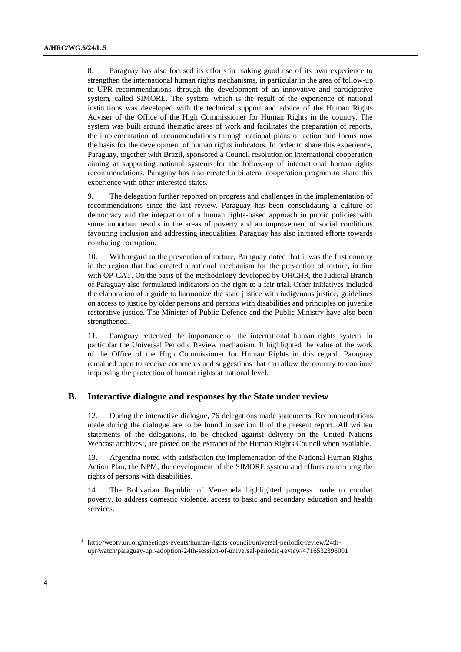8. Paraguay has also focused its efforts in making good use of its own experience to strengthen the international human rights mechanisms, in particular in the area of follow-up to UPR recommendations, through the development of an innovative and participative system, called SIMORE. The system, which is the result of the experience of national institutions was developed with the technical support and advice of the Human Rights Adviser of the Office of the High Commissioner for Human Rights in the country. The system was built around thematic areas of work and facilitates the preparation of reports, the implementation of recommendations through national plans of action and forms now the basis for the development of human rights indicators. In order to share this experience, Paraguay, together with Brazil, sponsored a Council resolution on international cooperation aiming at supporting national systems for the follow-up of international human rights recommendations. Paraguay has also created a bilateral cooperation program to share this experience with other interested states.

9. The delegation further reported on progress and challenges in the implementation of recommendations since the last review. Paraguay has been consolidating a culture of democracy and the integration of a human rights-based approach in public policies with some important results in the areas of poverty and an improvement of social conditions favouring inclusion and addressing inequalities. Paraguay has also initiated efforts towards combating corruption.

10. With regard to the prevention of torture, Paraguay noted that it was the first country in the region that had created a national mechanism for the prevention of torture, in line with OP-CAT. On the basis of the methodology developed by OHCHR, the Judicial Branch of Paraguay also formulated indicators on the right to a fair trial. Other initiatives included the elaboration of a guide to harmonize the state justice with indigenous justice, guidelines on access to justice by older persons and persons with disabilities and principles on juvenile restorative justice. The Minister of Public Defence and the Public Ministry have also been strengthened.

11. Paraguay reiterated the importance of the international human rights system, in particular the Universal Periodic Review mechanism. It highlighted the value of the work of the Office of the High Commissioner for Human Rights in this regard. Paraguay remained open to receive comments and suggestions that can allow the country to continue improving the protection of human rights at national level.

#### **B. Interactive dialogue and responses by the State under review**

12. During the interactive dialogue, 76 delegations made statements. Recommendations made during the dialogue are to be found in section II of the present report. All written statements of the delegations, to be checked against delivery on the United Nations Webcast archives<sup>1</sup>, are posted on the extranet of the Human Rights Council when available.

13. Argentina noted with satisfaction the implementation of the National Human Rights Action Plan, the NPM, the development of the SIMORE system and efforts concerning the rights of persons with disabilities.

14. The Bolivarian Republic of Venezuela highlighted progress made to combat poverty, to address domestic violence, access to basic and secondary education and health services.

<sup>1</sup> http://webtv.un.org/meetings-events/human-rights-council/universal-periodic-review/24thupr/watch/paraguay-upr-adoption-24th-session-of-universal-periodic-review/4716532396001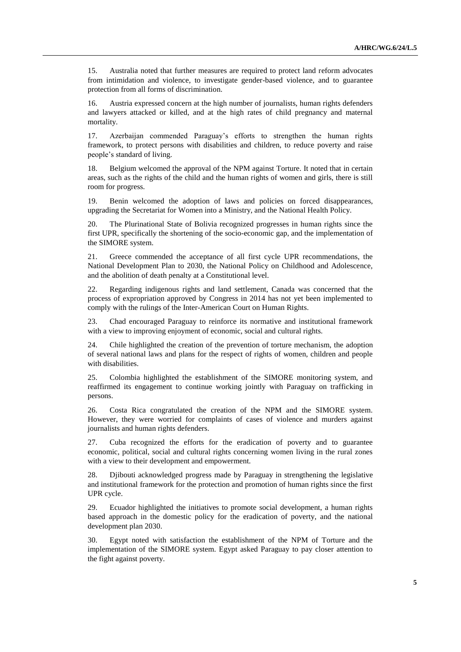15. Australia noted that further measures are required to protect land reform advocates from intimidation and violence, to investigate gender-based violence, and to guarantee protection from all forms of discrimination.

16. Austria expressed concern at the high number of journalists, human rights defenders and lawyers attacked or killed, and at the high rates of child pregnancy and maternal mortality.

17. Azerbaijan commended Paraguay's efforts to strengthen the human rights framework, to protect persons with disabilities and children, to reduce poverty and raise people's standard of living.

18. Belgium welcomed the approval of the NPM against Torture. It noted that in certain areas, such as the rights of the child and the human rights of women and girls, there is still room for progress.

19. Benin welcomed the adoption of laws and policies on forced disappearances, upgrading the Secretariat for Women into a Ministry, and the National Health Policy.

20. The Plurinational State of Bolivia recognized progresses in human rights since the first UPR, specifically the shortening of the socio-economic gap, and the implementation of the SIMORE system.

21. Greece commended the acceptance of all first cycle UPR recommendations, the National Development Plan to 2030, the National Policy on Childhood and Adolescence, and the abolition of death penalty at a Constitutional level.

22. Regarding indigenous rights and land settlement, Canada was concerned that the process of expropriation approved by Congress in 2014 has not yet been implemented to comply with the rulings of the Inter-American Court on Human Rights.

23. Chad encouraged Paraguay to reinforce its normative and institutional framework with a view to improving enjoyment of economic, social and cultural rights.

24. Chile highlighted the creation of the prevention of torture mechanism, the adoption of several national laws and plans for the respect of rights of women, children and people with disabilities.

25. Colombia highlighted the establishment of the SIMORE monitoring system, and reaffirmed its engagement to continue working jointly with Paraguay on trafficking in persons.

26. Costa Rica congratulated the creation of the NPM and the SIMORE system. However, they were worried for complaints of cases of violence and murders against journalists and human rights defenders.

27. Cuba recognized the efforts for the eradication of poverty and to guarantee economic, political, social and cultural rights concerning women living in the rural zones with a view to their development and empowerment.

28. Djibouti acknowledged progress made by Paraguay in strengthening the legislative and institutional framework for the protection and promotion of human rights since the first UPR cycle.

29. Ecuador highlighted the initiatives to promote social development, a human rights based approach in the domestic policy for the eradication of poverty, and the national development plan 2030.

30. Egypt noted with satisfaction the establishment of the NPM of Torture and the implementation of the SIMORE system. Egypt asked Paraguay to pay closer attention to the fight against poverty.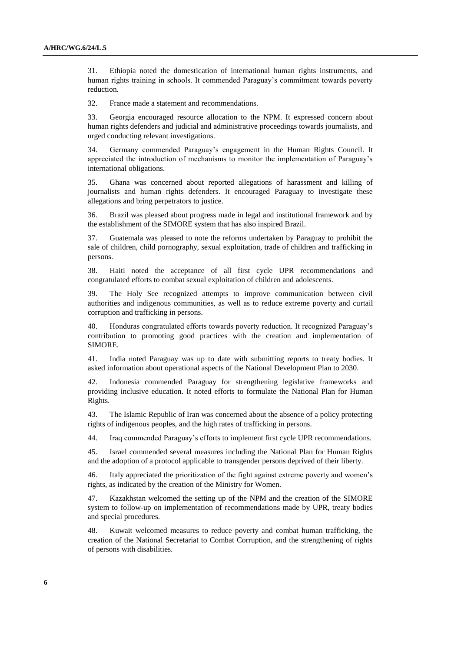31. Ethiopia noted the domestication of international human rights instruments, and human rights training in schools. It commended Paraguay's commitment towards poverty reduction.

32. France made a statement and recommendations.

33. Georgia encouraged resource allocation to the NPM. It expressed concern about human rights defenders and judicial and administrative proceedings towards journalists, and urged conducting relevant investigations.

34. Germany commended Paraguay's engagement in the Human Rights Council. It appreciated the introduction of mechanisms to monitor the implementation of Paraguay's international obligations.

35. Ghana was concerned about reported allegations of harassment and killing of journalists and human rights defenders. It encouraged Paraguay to investigate these allegations and bring perpetrators to justice.

36. Brazil was pleased about progress made in legal and institutional framework and by the establishment of the SIMORE system that has also inspired Brazil.

37. Guatemala was pleased to note the reforms undertaken by Paraguay to prohibit the sale of children, child pornography, sexual exploitation, trade of children and trafficking in persons.

38. Haiti noted the acceptance of all first cycle UPR recommendations and congratulated efforts to combat sexual exploitation of children and adolescents.

39. The Holy See recognized attempts to improve communication between civil authorities and indigenous communities, as well as to reduce extreme poverty and curtail corruption and trafficking in persons.

40. Honduras congratulated efforts towards poverty reduction. It recognized Paraguay's contribution to promoting good practices with the creation and implementation of SIMORE.

41. India noted Paraguay was up to date with submitting reports to treaty bodies. It asked information about operational aspects of the National Development Plan to 2030.

42. Indonesia commended Paraguay for strengthening legislative frameworks and providing inclusive education. It noted efforts to formulate the National Plan for Human Rights.

43. The Islamic Republic of Iran was concerned about the absence of a policy protecting rights of indigenous peoples, and the high rates of trafficking in persons.

44. Iraq commended Paraguay's efforts to implement first cycle UPR recommendations.

45. Israel commended several measures including the National Plan for Human Rights and the adoption of a protocol applicable to transgender persons deprived of their liberty.

46. Italy appreciated the prioritization of the fight against extreme poverty and women's rights, as indicated by the creation of the Ministry for Women.

47. Kazakhstan welcomed the setting up of the NPM and the creation of the SIMORE system to follow-up on implementation of recommendations made by UPR, treaty bodies and special procedures.

48. Kuwait welcomed measures to reduce poverty and combat human trafficking, the creation of the National Secretariat to Combat Corruption, and the strengthening of rights of persons with disabilities.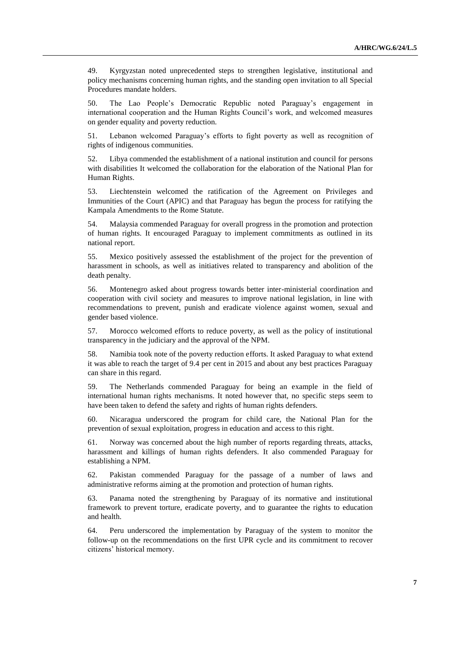49. Kyrgyzstan noted unprecedented steps to strengthen legislative, institutional and policy mechanisms concerning human rights, and the standing open invitation to all Special Procedures mandate holders.

50. The Lao People's Democratic Republic noted Paraguay's engagement in international cooperation and the Human Rights Council's work, and welcomed measures on gender equality and poverty reduction.

51. Lebanon welcomed Paraguay's efforts to fight poverty as well as recognition of rights of indigenous communities.

52. Libya commended the establishment of a national institution and council for persons with disabilities It welcomed the collaboration for the elaboration of the National Plan for Human Rights.

53. Liechtenstein welcomed the ratification of the Agreement on Privileges and Immunities of the Court (APIC) and that Paraguay has begun the process for ratifying the Kampala Amendments to the Rome Statute.

54. Malaysia commended Paraguay for overall progress in the promotion and protection of human rights. It encouraged Paraguay to implement commitments as outlined in its national report.

55. Mexico positively assessed the establishment of the project for the prevention of harassment in schools, as well as initiatives related to transparency and abolition of the death penalty.

56. Montenegro asked about progress towards better inter-ministerial coordination and cooperation with civil society and measures to improve national legislation, in line with recommendations to prevent, punish and eradicate violence against women, sexual and gender based violence.

57. Morocco welcomed efforts to reduce poverty, as well as the policy of institutional transparency in the judiciary and the approval of the NPM.

58. Namibia took note of the poverty reduction efforts. It asked Paraguay to what extend it was able to reach the target of 9.4 per cent in 2015 and about any best practices Paraguay can share in this regard.

59. The Netherlands commended Paraguay for being an example in the field of international human rights mechanisms. It noted however that, no specific steps seem to have been taken to defend the safety and rights of human rights defenders.

60. Nicaragua underscored the program for child care, the National Plan for the prevention of sexual exploitation, progress in education and access to this right.

61. Norway was concerned about the high number of reports regarding threats, attacks, harassment and killings of human rights defenders. It also commended Paraguay for establishing a NPM.

62. Pakistan commended Paraguay for the passage of a number of laws and administrative reforms aiming at the promotion and protection of human rights.

63. Panama noted the strengthening by Paraguay of its normative and institutional framework to prevent torture, eradicate poverty, and to guarantee the rights to education and health.

64. Peru underscored the implementation by Paraguay of the system to monitor the follow-up on the recommendations on the first UPR cycle and its commitment to recover citizens' historical memory.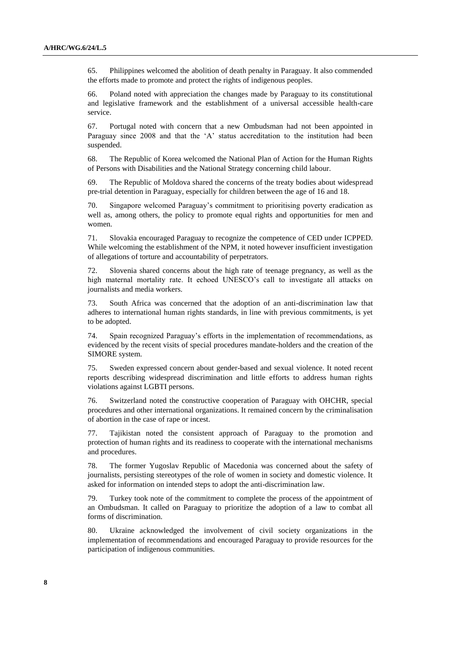65. Philippines welcomed the abolition of death penalty in Paraguay. It also commended the efforts made to promote and protect the rights of indigenous peoples.

66. Poland noted with appreciation the changes made by Paraguay to its constitutional and legislative framework and the establishment of a universal accessible health-care service.

67. Portugal noted with concern that a new Ombudsman had not been appointed in Paraguay since 2008 and that the 'A' status accreditation to the institution had been suspended.

68. The Republic of Korea welcomed the National Plan of Action for the Human Rights of Persons with Disabilities and the National Strategy concerning child labour.

69. The Republic of Moldova shared the concerns of the treaty bodies about widespread pre-trial detention in Paraguay, especially for children between the age of 16 and 18.

70. Singapore welcomed Paraguay's commitment to prioritising poverty eradication as well as, among others, the policy to promote equal rights and opportunities for men and women.

71. Slovakia encouraged Paraguay to recognize the competence of CED under ICPPED. While welcoming the establishment of the NPM, it noted however insufficient investigation of allegations of torture and accountability of perpetrators.

72. Slovenia shared concerns about the high rate of teenage pregnancy, as well as the high maternal mortality rate. It echoed UNESCO's call to investigate all attacks on journalists and media workers.

73. South Africa was concerned that the adoption of an anti-discrimination law that adheres to international human rights standards, in line with previous commitments, is yet to be adopted.

74. Spain recognized Paraguay's efforts in the implementation of recommendations, as evidenced by the recent visits of special procedures mandate-holders and the creation of the SIMORE system.

75. Sweden expressed concern about gender-based and sexual violence. It noted recent reports describing widespread discrimination and little efforts to address human rights violations against LGBTI persons.

76. Switzerland noted the constructive cooperation of Paraguay with OHCHR, special procedures and other international organizations. It remained concern by the criminalisation of abortion in the case of rape or incest.

77. Tajikistan noted the consistent approach of Paraguay to the promotion and protection of human rights and its readiness to cooperate with the international mechanisms and procedures.

78. The former Yugoslav Republic of Macedonia was concerned about the safety of journalists, persisting stereotypes of the role of women in society and domestic violence. It asked for information on intended steps to adopt the anti-discrimination law.

79. Turkey took note of the commitment to complete the process of the appointment of an Ombudsman. It called on Paraguay to prioritize the adoption of a law to combat all forms of discrimination.

80. Ukraine acknowledged the involvement of civil society organizations in the implementation of recommendations and encouraged Paraguay to provide resources for the participation of indigenous communities.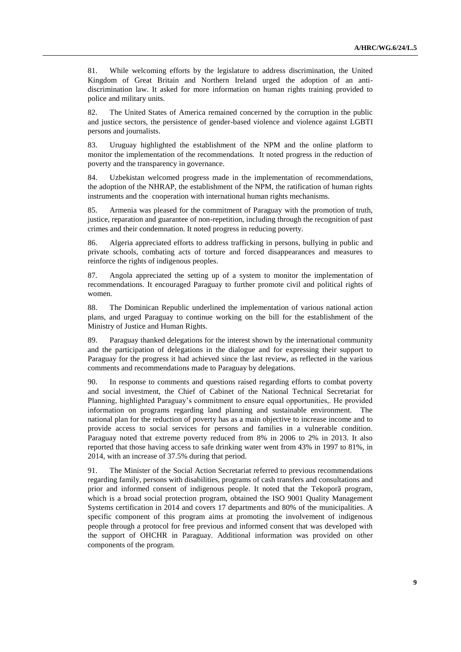81. While welcoming efforts by the legislature to address discrimination, the United Kingdom of Great Britain and Northern Ireland urged the adoption of an antidiscrimination law. It asked for more information on human rights training provided to police and military units.

82. The United States of America remained concerned by the corruption in the public and justice sectors, the persistence of gender-based violence and violence against LGBTI persons and journalists.

83. Uruguay highlighted the establishment of the NPM and the online platform to monitor the implementation of the recommendations. It noted progress in the reduction of poverty and the transparency in governance.

84. Uzbekistan welcomed progress made in the implementation of recommendations, the adoption of the NHRAP, the establishment of the NPM, the ratification of human rights instruments and the cooperation with international human rights mechanisms.

85. Armenia was pleased for the commitment of Paraguay with the promotion of truth, justice, reparation and guarantee of non-repetition, including through the recognition of past crimes and their condemnation. It noted progress in reducing poverty.

86. Algeria appreciated efforts to address trafficking in persons, bullying in public and private schools, combating acts of torture and forced disappearances and measures to reinforce the rights of indigenous peoples.

87. Angola appreciated the setting up of a system to monitor the implementation of recommendations. It encouraged Paraguay to further promote civil and political rights of women.

88. The Dominican Republic underlined the implementation of various national action plans, and urged Paraguay to continue working on the bill for the establishment of the Ministry of Justice and Human Rights.

89. Paraguay thanked delegations for the interest shown by the international community and the participation of delegations in the dialogue and for expressing their support to Paraguay for the progress it had achieved since the last review, as reflected in the various comments and recommendations made to Paraguay by delegations.

90. In response to comments and questions raised regarding efforts to combat poverty and social investment, the Chief of Cabinet of the National Technical Secretariat for Planning, highlighted Paraguay's commitment to ensure equal opportunities,. He provided information on programs regarding land planning and sustainable environment. The national plan for the reduction of poverty has as a main objective to increase income and to provide access to social services for persons and families in a vulnerable condition. Paraguay noted that extreme poverty reduced from 8% in 2006 to 2% in 2013. It also reported that those having access to safe drinking water went from 43% in 1997 to 81%, in 2014, with an increase of 37.5% during that period.

91. The Minister of the Social Action Secretariat referred to previous recommendations regarding family, persons with disabilities, programs of cash transfers and consultations and prior and informed consent of indigenous people. It noted that the Tekoporã program, which is a broad social protection program, obtained the ISO 9001 Quality Management Systems certification in 2014 and covers 17 departments and 80% of the municipalities. A specific component of this program aims at promoting the involvement of indigenous people through a protocol for free previous and informed consent that was developed with the support of OHCHR in Paraguay. Additional information was provided on other components of the program.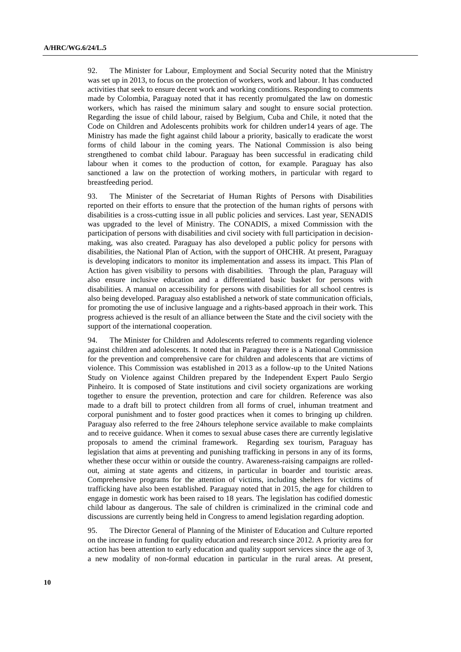92. The Minister for Labour, Employment and Social Security noted that the Ministry was set up in 2013, to focus on the protection of workers, work and labour. It has conducted activities that seek to ensure decent work and working conditions. Responding to comments made by Colombia, Paraguay noted that it has recently promulgated the law on domestic workers, which has raised the minimum salary and sought to ensure social protection. Regarding the issue of child labour, raised by Belgium, Cuba and Chile, it noted that the Code on Children and Adolescents prohibits work for children under14 years of age. The Ministry has made the fight against child labour a priority, basically to eradicate the worst forms of child labour in the coming years. The National Commission is also being strengthened to combat child labour. Paraguay has been successful in eradicating child labour when it comes to the production of cotton, for example. Paraguay has also sanctioned a law on the protection of working mothers, in particular with regard to breastfeeding period.

93. The Minister of the Secretariat of Human Rights of Persons with Disabilities reported on their efforts to ensure that the protection of the human rights of persons with disabilities is a cross-cutting issue in all public policies and services. Last year, SENADIS was upgraded to the level of Ministry. The CONADIS, a mixed Commission with the participation of persons with disabilities and civil society with full participation in decisionmaking, was also created. Paraguay has also developed a public policy for persons with disabilities, the National Plan of Action, with the support of OHCHR. At present, Paraguay is developing indicators to monitor its implementation and assess its impact. This Plan of Action has given visibility to persons with disabilities. Through the plan, Paraguay will also ensure inclusive education and a differentiated basic basket for persons with disabilities. A manual on accessibility for persons with disabilities for all school centres is also being developed. Paraguay also established a network of state communication officials, for promoting the use of inclusive language and a rights-based approach in their work. This progress achieved is the result of an alliance between the State and the civil society with the support of the international cooperation.

94. The Minister for Children and Adolescents referred to comments regarding violence against children and adolescents. It noted that in Paraguay there is a National Commission for the prevention and comprehensive care for children and adolescents that are victims of violence. This Commission was established in 2013 as a follow-up to the United Nations Study on Violence against Children prepared by the Independent Expert Paulo Sergio Pinheiro. It is composed of State institutions and civil society organizations are working together to ensure the prevention, protection and care for children. Reference was also made to a draft bill to protect children from all forms of cruel, inhuman treatment and corporal punishment and to foster good practices when it comes to bringing up children. Paraguay also referred to the free 24hours telephone service available to make complaints and to receive guidance. When it comes to sexual abuse cases there are currently legislative proposals to amend the criminal framework. Regarding sex tourism, Paraguay has legislation that aims at preventing and punishing trafficking in persons in any of its forms, whether these occur within or outside the country. Awareness-raising campaigns are rolledout, aiming at state agents and citizens, in particular in boarder and touristic areas. Comprehensive programs for the attention of victims, including shelters for victims of trafficking have also been established. Paraguay noted that in 2015, the age for children to engage in domestic work has been raised to 18 years. The legislation has codified domestic child labour as dangerous. The sale of children is criminalized in the criminal code and discussions are currently being held in Congress to amend legislation regarding adoption.

95. The Director General of Planning of the Minister of Education and Culture reported on the increase in funding for quality education and research since 2012. A priority area for action has been attention to early education and quality support services since the age of 3, a new modality of non-formal education in particular in the rural areas. At present,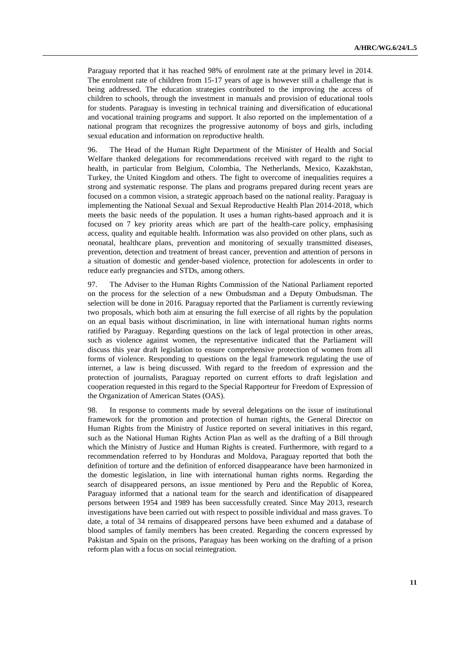Paraguay reported that it has reached 98% of enrolment rate at the primary level in 2014. The enrolment rate of children from 15-17 years of age is however still a challenge that is being addressed. The education strategies contributed to the improving the access of children to schools, through the investment in manuals and provision of educational tools for students. Paraguay is investing in technical training and diversification of educational and vocational training programs and support. It also reported on the implementation of a national program that recognizes the progressive autonomy of boys and girls, including sexual education and information on reproductive health.

96. The Head of the Human Right Department of the Minister of Health and Social Welfare thanked delegations for recommendations received with regard to the right to health, in particular from Belgium, Colombia, The Netherlands, Mexico, Kazakhstan, Turkey, the United Kingdom and others. The fight to overcome of inequalities requires a strong and systematic response. The plans and programs prepared during recent years are focused on a common vision, a strategic approach based on the national reality. Paraguay is implementing the National Sexual and Sexual Reproductive Health Plan 2014-2018, which meets the basic needs of the population. It uses a human rights-based approach and it is focused on 7 key priority areas which are part of the health-care policy, emphasising access, quality and equitable health. Information was also provided on other plans, such as neonatal, healthcare plans, prevention and monitoring of sexually transmitted diseases, prevention, detection and treatment of breast cancer, prevention and attention of persons in a situation of domestic and gender-based violence, protection for adolescents in order to reduce early pregnancies and STDs, among others.

97. The Adviser to the Human Rights Commission of the National Parliament reported on the process for the selection of a new Ombudsman and a Deputy Ombudsman. The selection will be done in 2016. Paraguay reported that the Parliament is currently reviewing two proposals, which both aim at ensuring the full exercise of all rights by the population on an equal basis without discrimination, in line with international human rights norms ratified by Paraguay. Regarding questions on the lack of legal protection in other areas, such as violence against women, the representative indicated that the Parliament will discuss this year draft legislation to ensure comprehensive protection of women from all forms of violence. Responding to questions on the legal framework regulating the use of internet, a law is being discussed. With regard to the freedom of expression and the protection of journalists, Paraguay reported on current efforts to draft legislation and cooperation requested in this regard to the Special Rapporteur for Freedom of Expression of the Organization of American States (OAS).

98. In response to comments made by several delegations on the issue of institutional framework for the promotion and protection of human rights, the General Director on Human Rights from the Ministry of Justice reported on several initiatives in this regard, such as the National Human Rights Action Plan as well as the drafting of a Bill through which the Ministry of Justice and Human Rights is created. Furthermore, with regard to a recommendation referred to by Honduras and Moldova, Paraguay reported that both the definition of torture and the definition of enforced disappearance have been harmonized in the domestic legislation, in line with international human rights norms. Regarding the search of disappeared persons, an issue mentioned by Peru and the Republic of Korea, Paraguay informed that a national team for the search and identification of disappeared persons between 1954 and 1989 has been successfully created. Since May 2013, research investigations have been carried out with respect to possible individual and mass graves. To date, a total of 34 remains of disappeared persons have been exhumed and a database of blood samples of family members has been created. Regarding the concern expressed by Pakistan and Spain on the prisons, Paraguay has been working on the drafting of a prison reform plan with a focus on social reintegration.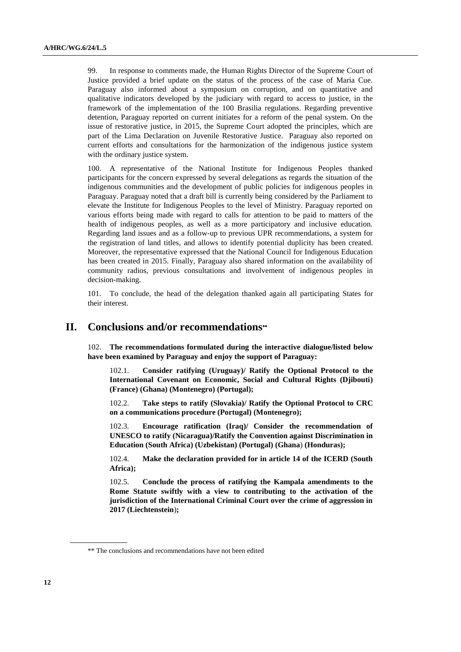99. In response to comments made, the Human Rights Director of the Supreme Court of Justice provided a brief update on the status of the process of the case of Maria Cue. Paraguay also informed about a symposium on corruption, and on quantitative and qualitative indicators developed by the judiciary with regard to access to justice, in the framework of the implementation of the 100 Brasilia regulations. Regarding preventive detention, Paraguay reported on current initiates for a reform of the penal system. On the issue of restorative justice, in 2015, the Supreme Court adopted the principles, which are part of the Lima Declaration on Juvenile Restorative Justice. Paraguay also reported on current efforts and consultations for the harmonization of the indigenous justice system with the ordinary justice system.

100. A representative of the National Institute for Indigenous Peoples thanked participants for the concern expressed by several delegations as regards the situation of the indigenous communities and the development of public policies for indigenous peoples in Paraguay. Paraguay noted that a draft bill is currently being considered by the Parliament to elevate the Institute for Indigenous Peoples to the level of Ministry. Paraguay reported on various efforts being made with regard to calls for attention to be paid to matters of the health of indigenous peoples, as well as a more participatory and inclusive education. Regarding land issues and as a follow-up to previous UPR recommendations, a system for the registration of land titles, and allows to identify potential duplicity has been created. Moreover, the representative expressed that the National Council for Indigenous Education has been created in 2015. Finally, Paraguay also shared information on the availability of community radios, previous consultations and involvement of indigenous peoples in decision-making.

101. To conclude, the head of the delegation thanked again all participating States for their interest.

## **II. Conclusions and/or recommendations**

102. **The recommendations formulated during the interactive dialogue/listed below have been examined by Paraguay and enjoy the support of Paraguay:**

102.1. **Consider ratifying (Uruguay)/ Ratify the Optional Protocol to the International Covenant on Economic, Social and Cultural Rights (Djibouti) (France) (Ghana) (Montenegro) (Portugal);**

102.2. **Take steps to ratify (Slovakia)/ Ratify the Optional Protocol to CRC on a communications procedure (Portugal) (Montenegro);**

102.3. **Encourage ratification (Iraq)/ Consider the recommendation of UNESCO to ratify (Nicaragua)/Ratify the Convention against Discrimination in Education (South Africa) (Uzbekistan) (Portugal) (Ghana**) **(Honduras);** 

102.4. **Make the declaration provided for in article 14 of the ICERD (South Africa);**

102.5. **Conclude the process of ratifying the Kampala amendments to the Rome Statute swiftly with a view to contributing to the activation of the jurisdiction of the International Criminal Court over the crime of aggression in 2017 (Liechtenstein**)**;**

<sup>\*\*</sup> The conclusions and recommendations have not been edited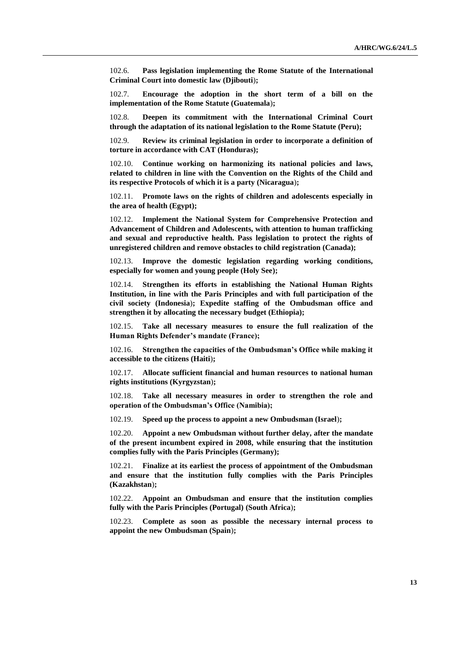102.6. **Pass legislation implementing the Rome Statute of the International Criminal Court into domestic law (Djibouti**)**;**

102.7. **Encourage the adoption in the short term of a bill on the implementation of the Rome Statute (Guatemala**)**;**

102.8. **Deepen its commitment with the International Criminal Court through the adaptation of its national legislation to the Rome Statute (Peru);**

102.9. **Review its criminal legislation in order to incorporate a definition of torture in accordance with CAT (Honduras);**

102.10. **Continue working on harmonizing its national policies and laws, related to children in line with the Convention on the Rights of the Child and its respective Protocols of which it is a party (Nicaragua**)**;**

102.11. **Promote laws on the rights of children and adolescents especially in the area of health (Egypt);**

102.12. **Implement the National System for Comprehensive Protection and Advancement of Children and Adolescents, with attention to human trafficking and sexual and reproductive health. Pass legislation to protect the rights of unregistered children and remove obstacles to child registration (Canada);**

102.13. **Improve the domestic legislation regarding working conditions, especially for women and young people (Holy See);** 

102.14. **Strengthen its efforts in establishing the National Human Rights Institution, in line with the Paris Principles and with full participation of the civil society (Indonesia**)**; Expedite staffing of the Ombudsman office and strengthen it by allocating the necessary budget (Ethiopia);**

102.15. **Take all necessary measures to ensure the full realization of the Human Rights Defender's mandate (France);**

102.16. **Strengthen the capacities of the Ombudsman's Office while making it accessible to the citizens (Haiti**)**;**

102.17. **Allocate sufficient financial and human resources to national human rights institutions (Kyrgyzstan**)**;**

102.18. **Take all necessary measures in order to strengthen the role and operation of the Ombudsman's Office (Namibia);**

102.19. **Speed up the process to appoint a new Ombudsman (Israel**)**;** 

102.20. **Appoint a new Ombudsman without further delay, after the mandate of the present incumbent expired in 2008, while ensuring that the institution complies fully with the Paris Principles (Germany);** 

102.21. **Finalize at its earliest the process of appointment of the Ombudsman and ensure that the institution fully complies with the Paris Principles (Kazakhstan**)**;** 

102.22. **Appoint an Ombudsman and ensure that the institution complies fully with the Paris Principles (Portugal) (South Africa**)**;**

102.23. **Complete as soon as possible the necessary internal process to appoint the new Ombudsman (Spain**)**;**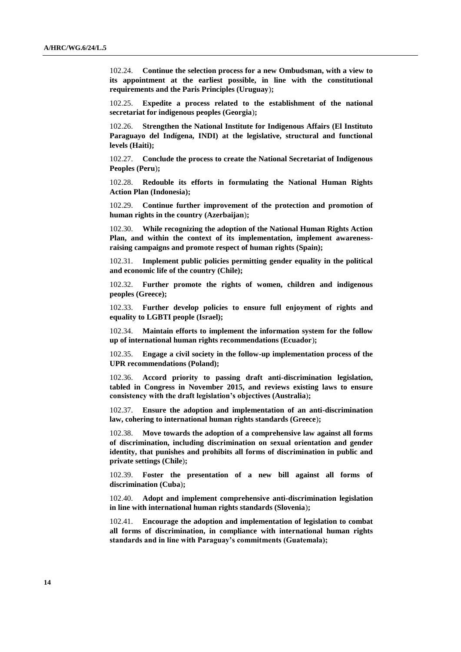102.24. **Continue the selection process for a new Ombudsman, with a view to its appointment at the earliest possible, in line with the constitutional requirements and the Paris Principles (Uruguay**)**;**

102.25. **Expedite a process related to the establishment of the national secretariat for indigenous peoples (Georgia**)**;** 

102.26. **Strengthen the National Institute for Indigenous Affairs (El Instituto Paraguayo del Indígena, INDI) at the legislative, structural and functional levels (Haiti);** 

102.27. **Conclude the process to create the National Secretariat of Indigenous Peoples (Peru**)**;**

102.28. **Redouble its efforts in formulating the National Human Rights Action Plan (Indonesia);** 

102.29. **Continue further improvement of the protection and promotion of human rights in the country (Azerbaijan**)**;**

102.30. **While recognizing the adoption of the National Human Rights Action Plan, and within the context of its implementation, implement awarenessraising campaigns and promote respect of human rights (Spain);**

102.31. **Implement public policies permitting gender equality in the political and economic life of the country (Chile);**

102.32. **Further promote the rights of women, children and indigenous peoples (Greece);** 

102.33. **Further develop policies to ensure full enjoyment of rights and equality to LGBTI people (Israel);** 

102.34. **Maintain efforts to implement the information system for the follow up of international human rights recommendations (Ecuador**)**;**

102.35. **Engage a civil society in the follow-up implementation process of the UPR recommendations (Poland);**

102.36. **Accord priority to passing draft anti-discrimination legislation, tabled in Congress in November 2015, and reviews existing laws to ensure consistency with the draft legislation's objectives (Australia**)**;**

102.37. **Ensure the adoption and implementation of an anti-discrimination law, cohering to international human rights standards (Greece**)**;**

102.38. **Move towards the adoption of a comprehensive law against all forms of discrimination, including discrimination on sexual orientation and gender identity, that punishes and prohibits all forms of discrimination in public and private settings (Chile**)**;**

102.39. **Foster the presentation of a new bill against all forms of discrimination (Cuba**)**;**

102.40. **Adopt and implement comprehensive anti-discrimination legislation in line with international human rights standards (Slovenia**)**;**

102.41. **Encourage the adoption and implementation of legislation to combat all forms of discrimination, in compliance with international human rights standards and in line with Paraguay's commitments (Guatemala);**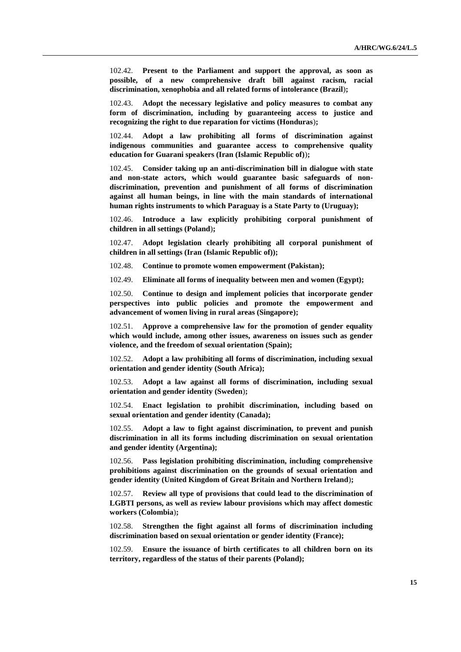102.42. **Present to the Parliament and support the approval, as soon as possible, of a new comprehensive draft bill against racism, racial discrimination, xenophobia and all related forms of intolerance (Brazil**)**;**

102.43. **Adopt the necessary legislative and policy measures to combat any form of discrimination, including by guaranteeing access to justice and recognizing the right to due reparation for victims (Honduras**)**;**

102.44. **Adopt a law prohibiting all forms of discrimination against indigenous communities and guarantee access to comprehensive quality education for Guarani speakers (Iran (Islamic Republic of)**)**;**

102.45. **Consider taking up an anti-discrimination bill in dialogue with state and non-state actors, which would guarantee basic safeguards of nondiscrimination, prevention and punishment of all forms of discrimination against all human beings, in line with the main standards of international human rights instruments to which Paraguay is a State Party to (Uruguay);**

102.46. **Introduce a law explicitly prohibiting corporal punishment of children in all settings (Poland**)**;**

102.47. **Adopt legislation clearly prohibiting all corporal punishment of children in all settings (Iran (Islamic Republic of));**

102.48. **Continue to promote women empowerment (Pakistan);**

102.49. **Eliminate all forms of inequality between men and women (Egypt);**

102.50. **Continue to design and implement policies that incorporate gender perspectives into public policies and promote the empowerment and advancement of women living in rural areas (Singapore);**

102.51. **Approve a comprehensive law for the promotion of gender equality which would include, among other issues, awareness on issues such as gender violence, and the freedom of sexual orientation (Spain);**

102.52. **Adopt a law prohibiting all forms of discrimination, including sexual orientation and gender identity (South Africa);**

102.53. **Adopt a law against all forms of discrimination, including sexual orientation and gender identity (Sweden**)**;**

102.54. **Enact legislation to prohibit discrimination, including based on sexual orientation and gender identity (Canada);** 

102.55. **Adopt a law to fight against discrimination, to prevent and punish discrimination in all its forms including discrimination on sexual orientation and gender identity (Argentina);**

102.56. **Pass legislation prohibiting discrimination, including comprehensive prohibitions against discrimination on the grounds of sexual orientation and gender identity (United Kingdom of Great Britain and Northern Ireland**)**;**

102.57. **Review all type of provisions that could lead to the discrimination of LGBTI persons, as well as review labour provisions which may affect domestic workers (Colombia**)**;**

102.58. **Strengthen the fight against all forms of discrimination including discrimination based on sexual orientation or gender identity (France);**

102.59. **Ensure the issuance of birth certificates to all children born on its territory, regardless of the status of their parents (Poland);**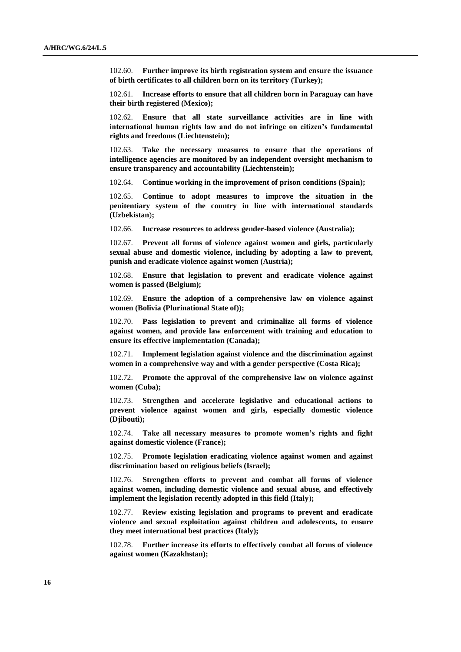102.60. **Further improve its birth registration system and ensure the issuance of birth certificates to all children born on its territory (Turkey);**

102.61. **Increase efforts to ensure that all children born in Paraguay can have their birth registered (Mexico);**

102.62. **Ensure that all state surveillance activities are in line with international human rights law and do not infringe on citizen's fundamental rights and freedoms (Liechtenstein);**

102.63. **Take the necessary measures to ensure that the operations of intelligence agencies are monitored by an independent oversight mechanism to ensure transparency and accountability (Liechtenstein);**

102.64. **Continue working in the improvement of prison conditions (Spain);**

102.65. **Continue to adopt measures to improve the situation in the penitentiary system of the country in line with international standards (Uzbekistan**)**;**

102.66. **Increase resources to address gender-based violence (Australia);**

102.67. **Prevent all forms of violence against women and girls, particularly sexual abuse and domestic violence, including by adopting a law to prevent, punish and eradicate violence against women (Austria);**

102.68. **Ensure that legislation to prevent and eradicate violence against women is passed (Belgium);**

102.69. **Ensure the adoption of a comprehensive law on violence against women (Bolivia (Plurinational State of));**

102.70. **Pass legislation to prevent and criminalize all forms of violence against women, and provide law enforcement with training and education to ensure its effective implementation (Canada);**

102.71. **Implement legislation against violence and the discrimination against women in a comprehensive way and with a gender perspective (Costa Rica);**

102.72. **Promote the approval of the comprehensive law on violence against women (Cuba);**

102.73. **Strengthen and accelerate legislative and educational actions to prevent violence against women and girls, especially domestic violence (Djibouti);**

102.74. **Take all necessary measures to promote women's rights and fight against domestic violence (France**)**;**

102.75. **Promote legislation eradicating violence against women and against discrimination based on religious beliefs (Israel);** 

102.76. **Strengthen efforts to prevent and combat all forms of violence against women, including domestic violence and sexual abuse, and effectively implement the legislation recently adopted in this field (Italy**)**;**

102.77. **Review existing legislation and programs to prevent and eradicate violence and sexual exploitation against children and adolescents, to ensure they meet international best practices (Italy);** 

102.78. **Further increase its efforts to effectively combat all forms of violence against women (Kazakhstan);**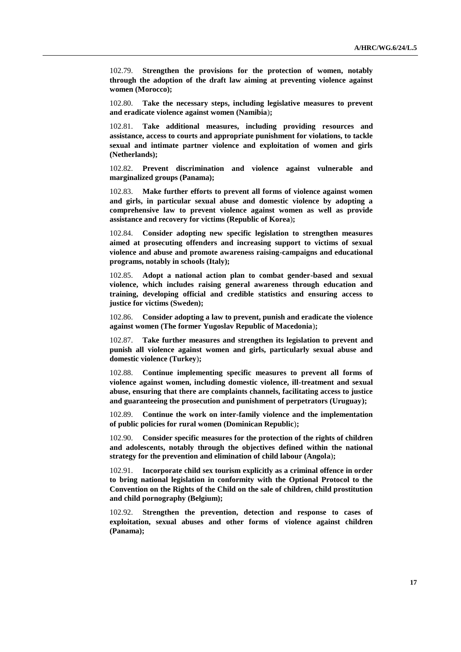102.79. **Strengthen the provisions for the protection of women, notably through the adoption of the draft law aiming at preventing violence against women (Morocco);**

102.80. **Take the necessary steps, including legislative measures to prevent and eradicate violence against women (Namibia**)**;**

102.81. **Take additional measures, including providing resources and assistance, access to courts and appropriate punishment for violations, to tackle sexual and intimate partner violence and exploitation of women and girls (Netherlands);**

102.82. **Prevent discrimination and violence against vulnerable and marginalized groups (Panama);**

102.83. **Make further efforts to prevent all forms of violence against women and girls, in particular sexual abuse and domestic violence by adopting a comprehensive law to prevent violence against women as well as provide assistance and recovery for victims (Republic of Korea**)**;** 

102.84. **Consider adopting new specific legislation to strengthen measures aimed at prosecuting offenders and increasing support to victims of sexual violence and abuse and promote awareness raising-campaigns and educational programs, notably in schools (Italy);**

102.85. **Adopt a national action plan to combat gender-based and sexual violence, which includes raising general awareness through education and training, developing official and credible statistics and ensuring access to justice for victims (Sweden);**

102.86. **Consider adopting a law to prevent, punish and eradicate the violence against women (The former Yugoslav Republic of Macedonia**)**;**

102.87. **Take further measures and strengthen its legislation to prevent and punish all violence against women and girls, particularly sexual abuse and domestic violence (Turkey**)**;**

102.88. **Continue implementing specific measures to prevent all forms of violence against women, including domestic violence, ill-treatment and sexual abuse, ensuring that there are complaints channels, facilitating access to justice and guaranteeing the prosecution and punishment of perpetrators (Uruguay);**

102.89. **Continue the work on inter-family violence and the implementation of public policies for rural women (Dominican Republic**)**;**

102.90. **Consider specific measures for the protection of the rights of children and adolescents, notably through the objectives defined within the national strategy for the prevention and elimination of child labour (Angola**)**;**

102.91. **Incorporate child sex tourism explicitly as a criminal offence in order to bring national legislation in conformity with the Optional Protocol to the Convention on the Rights of the Child on the sale of children, child prostitution and child pornography (Belgium);**

102.92. **Strengthen the prevention, detection and response to cases of exploitation, sexual abuses and other forms of violence against children (Panama);**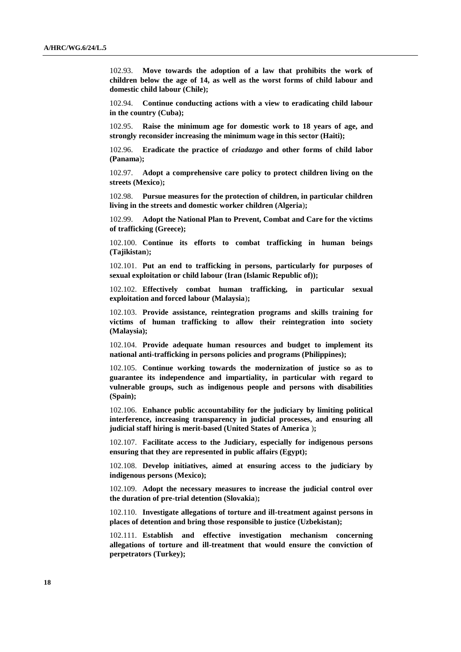102.93. **Move towards the adoption of a law that prohibits the work of children below the age of 14, as well as the worst forms of child labour and domestic child labour (Chile);**

102.94. **Continue conducting actions with a view to eradicating child labour in the country (Cuba);**

102.95. **Raise the minimum age for domestic work to 18 years of age, and strongly reconsider increasing the minimum wage in this sector (Haiti);**

102.96. **Eradicate the practice of** *criadazgo* **and other forms of child labor (Panama**)**;**

102.97. **Adopt a comprehensive care policy to protect children living on the streets (Mexico**)**;**

102.98. **Pursue measures for the protection of children, in particular children living in the streets and domestic worker children (Algeria**)**;**

102.99. **Adopt the National Plan to Prevent, Combat and Care for the victims of trafficking (Greece);**

102.100. **Continue its efforts to combat trafficking in human beings (Tajikistan**)**;**

102.101. **Put an end to trafficking in persons, particularly for purposes of sexual exploitation or child labour (Iran (Islamic Republic of));** 

102.102. **Effectively combat human trafficking, in particular sexual exploitation and forced labour (Malaysia**)**;**

102.103. **Provide assistance, reintegration programs and skills training for victims of human trafficking to allow their reintegration into society (Malaysia);**

102.104. **Provide adequate human resources and budget to implement its national anti-trafficking in persons policies and programs (Philippines);**

102.105. **Continue working towards the modernization of justice so as to guarantee its independence and impartiality, in particular with regard to vulnerable groups, such as indigenous people and persons with disabilities (Spain);**

102.106. **Enhance public accountability for the judiciary by limiting political interference, increasing transparency in judicial processes, and ensuring all judicial staff hiring is merit-based (United States of America** )**;**

102.107. **Facilitate access to the Judiciary, especially for indigenous persons ensuring that they are represented in public affairs (Egypt);**

102.108. **Develop initiatives, aimed at ensuring access to the judiciary by indigenous persons (Mexico);**

102.109. **Adopt the necessary measures to increase the judicial control over the duration of pre-trial detention (Slovakia**)**;**

102.110. **Investigate allegations of torture and ill-treatment against persons in places of detention and bring those responsible to justice (Uzbekistan);**

102.111. **Establish and effective investigation mechanism concerning allegations of torture and ill-treatment that would ensure the conviction of perpetrators (Turkey);**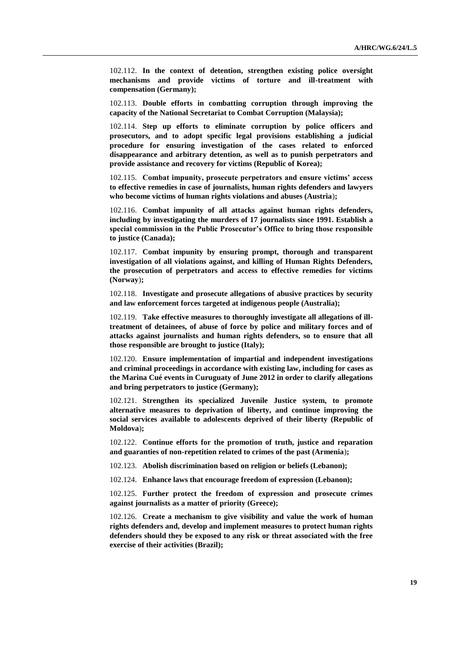102.112. **In the context of detention, strengthen existing police oversight mechanisms and provide victims of torture and ill-treatment with compensation (Germany);**

102.113. **Double efforts in combatting corruption through improving the capacity of the National Secretariat to Combat Corruption (Malaysia);**

102.114. **Step up efforts to eliminate corruption by police officers and prosecutors, and to adopt specific legal provisions establishing a judicial procedure for ensuring investigation of the cases related to enforced disappearance and arbitrary detention, as well as to punish perpetrators and provide assistance and recovery for victims (Republic of Korea);** 

102.115. **Combat impunity, prosecute perpetrators and ensure victims' access to effective remedies in case of journalists, human rights defenders and lawyers who become victims of human rights violations and abuses (Austria**)**;**

102.116. **Combat impunity of all attacks against human rights defenders, including by investigating the murders of 17 journalists since 1991. Establish a special commission in the Public Prosecutor's Office to bring those responsible to justice (Canada);** 

102.117. **Combat impunity by ensuring prompt, thorough and transparent investigation of all violations against, and killing of Human Rights Defenders, the prosecution of perpetrators and access to effective remedies for victims (Norway**)**;**

102.118. **Investigate and prosecute allegations of abusive practices by security and law enforcement forces targeted at indigenous people (Australia);**

102.119. **Take effective measures to thoroughly investigate all allegations of illtreatment of detainees, of abuse of force by police and military forces and of attacks against journalists and human rights defenders, so to ensure that all those responsible are brought to justice (Italy);** 

102.120. **Ensure implementation of impartial and independent investigations and criminal proceedings in accordance with existing law, including for cases as the Marina Cué events in Curuguaty of June 2012 in order to clarify allegations and bring perpetrators to justice (Germany);**

102.121. **Strengthen its specialized Juvenile Justice system, to promote alternative measures to deprivation of liberty, and continue improving the social services available to adolescents deprived of their liberty (Republic of Moldova**)**;**

102.122. **Continue efforts for the promotion of truth, justice and reparation and guaranties of non-repetition related to crimes of the past (Armenia**)**;**

102.123. **Abolish discrimination based on religion or beliefs (Lebanon);**

102.124. **Enhance laws that encourage freedom of expression (Lebanon);**

102.125. **Further protect the freedom of expression and prosecute crimes against journalists as a matter of priority (Greece);** 

102.126. **Create a mechanism to give visibility and value the work of human rights defenders and, develop and implement measures to protect human rights defenders should they be exposed to any risk or threat associated with the free exercise of their activities (Brazil);**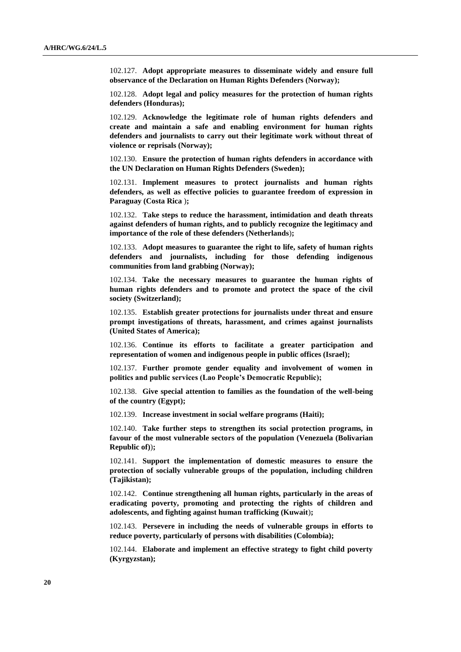102.127. **Adopt appropriate measures to disseminate widely and ensure full observance of the Declaration on Human Rights Defenders (Norway);**

102.128. **Adopt legal and policy measures for the protection of human rights defenders (Honduras);**

102.129. **Acknowledge the legitimate role of human rights defenders and create and maintain a safe and enabling environment for human rights defenders and journalists to carry out their legitimate work without threat of violence or reprisals (Norway);**

102.130. **Ensure the protection of human rights defenders in accordance with the UN Declaration on Human Rights Defenders (Sweden);**

102.131. **Implement measures to protect journalists and human rights defenders, as well as effective policies to guarantee freedom of expression in Paraguay (Costa Rica** )**;**

102.132. **Take steps to reduce the harassment, intimidation and death threats against defenders of human rights, and to publicly recognize the legitimacy and importance of the role of these defenders (Netherlands**)**;**

102.133. **Adopt measures to guarantee the right to life, safety of human rights defenders and journalists, including for those defending indigenous communities from land grabbing (Norway);**

102.134. **Take the necessary measures to guarantee the human rights of human rights defenders and to promote and protect the space of the civil society (Switzerland);**

102.135. **Establish greater protections for journalists under threat and ensure prompt investigations of threats, harassment, and crimes against journalists (United States of America);**

102.136. **Continue its efforts to facilitate a greater participation and representation of women and indigenous people in public offices (Israel);** 

102.137. **Further promote gender equality and involvement of women in politics and public services (Lao People's Democratic Republic);**

102.138. **Give special attention to families as the foundation of the well-being of the country (Egypt);**

102.139. **Increase investment in social welfare programs (Haiti);**

102.140. **Take further steps to strengthen its social protection programs, in favour of the most vulnerable sectors of the population (Venezuela (Bolivarian Republic of)**)**;**

102.141. **Support the implementation of domestic measures to ensure the protection of socially vulnerable groups of the population, including children (Tajikistan);**

102.142. **Continue strengthening all human rights, particularly in the areas of eradicating poverty, promoting and protecting the rights of children and adolescents, and fighting against human trafficking (Kuwait**)**;**

102.143. **Persevere in including the needs of vulnerable groups in efforts to reduce poverty, particularly of persons with disabilities (Colombia);**

102.144. **Elaborate and implement an effective strategy to fight child poverty (Kyrgyzstan);**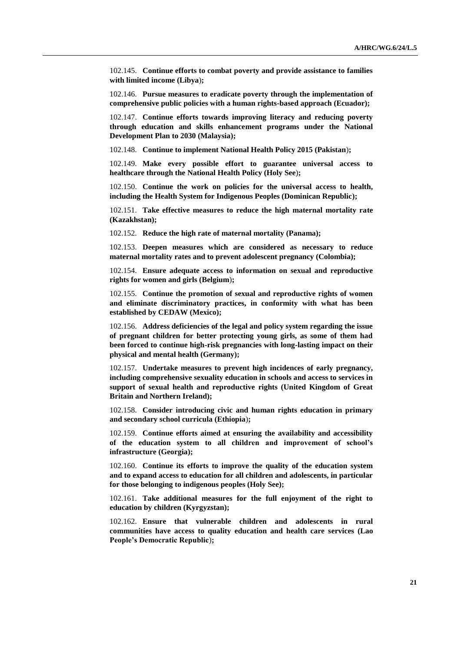102.145. **Continue efforts to combat poverty and provide assistance to families with limited income (Libya**)**;** 

102.146. **Pursue measures to eradicate poverty through the implementation of comprehensive public policies with a human rights-based approach (Ecuador);**

102.147. **Continue efforts towards improving literacy and reducing poverty through education and skills enhancement programs under the National Development Plan to 2030 (Malaysia);**

102.148. **Continue to implement National Health Policy 2015 (Pakistan**)**;**

102.149. **Make every possible effort to guarantee universal access to healthcare through the National Health Policy (Holy See**)**;**

102.150. **Continue the work on policies for the universal access to health, including the Health System for Indigenous Peoples (Dominican Republic);**

102.151. **Take effective measures to reduce the high maternal mortality rate (Kazakhstan);** 

102.152. **Reduce the high rate of maternal mortality (Panama);**

102.153. **Deepen measures which are considered as necessary to reduce maternal mortality rates and to prevent adolescent pregnancy (Colombia);**

102.154. **Ensure adequate access to information on sexual and reproductive rights for women and girls (Belgium**)**;**

102.155. **Continue the promotion of sexual and reproductive rights of women and eliminate discriminatory practices, in conformity with what has been established by CEDAW (Mexico);**

102.156. **Address deficiencies of the legal and policy system regarding the issue of pregnant children for better protecting young girls, as some of them had been forced to continue high-risk pregnancies with long-lasting impact on their physical and mental health (Germany);** 

102.157. **Undertake measures to prevent high incidences of early pregnancy, including comprehensive sexuality education in schools and access to services in support of sexual health and reproductive rights (United Kingdom of Great Britain and Northern Ireland);**

102.158. **Consider introducing civic and human rights education in primary and secondary school curricula (Ethiopia**)**;**

102.159. **Continue efforts aimed at ensuring the availability and accessibility of the education system to all children and improvement of school's infrastructure (Georgia);** 

102.160. **Continue its efforts to improve the quality of the education system and to expand access to education for all children and adolescents, in particular for those belonging to indigenous peoples (Holy See);** 

102.161. **Take additional measures for the full enjoyment of the right to education by children (Kyrgyzstan);**

102.162. **Ensure that vulnerable children and adolescents in rural communities have access to quality education and health care services (Lao People's Democratic Republic**)**;**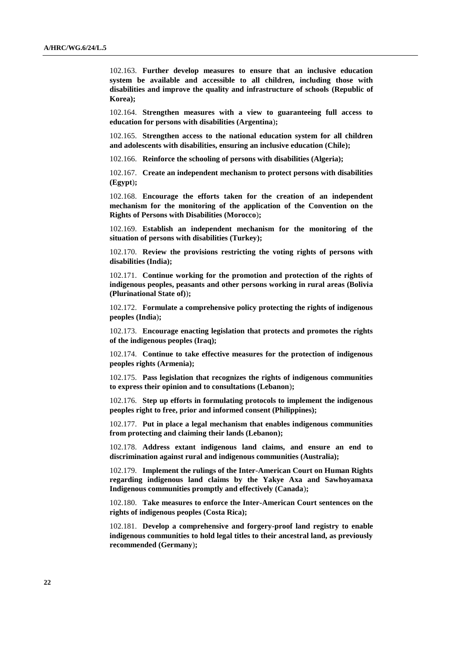102.163. **Further develop measures to ensure that an inclusive education system be available and accessible to all children, including those with disabilities and improve the quality and infrastructure of schools (Republic of Korea);** 

102.164. **Strengthen measures with a view to guaranteeing full access to education for persons with disabilities (Argentina**)**;**

102.165. **Strengthen access to the national education system for all children and adolescents with disabilities, ensuring an inclusive education (Chile);**

102.166. **Reinforce the schooling of persons with disabilities (Algeria);**

102.167. **Create an independent mechanism to protect persons with disabilities (Egypt**)**;**

102.168. **Encourage the efforts taken for the creation of an independent mechanism for the monitoring of the application of the Convention on the Rights of Persons with Disabilities (Morocco**)**;**

102.169. **Establish an independent mechanism for the monitoring of the situation of persons with disabilities (Turkey);**

102.170. **Review the provisions restricting the voting rights of persons with disabilities (India);** 

102.171. **Continue working for the promotion and protection of the rights of indigenous peoples, peasants and other persons working in rural areas (Bolivia (Plurinational State of)**)**;**

102.172. **Formulate a comprehensive policy protecting the rights of indigenous peoples (India**)**;** 

102.173. **Encourage enacting legislation that protects and promotes the rights of the indigenous peoples (Iraq);** 

102.174. **Continue to take effective measures for the protection of indigenous peoples rights (Armenia);**

102.175. **Pass legislation that recognizes the rights of indigenous communities to express their opinion and to consultations (Lebanon**)**;**

102.176. **Step up efforts in formulating protocols to implement the indigenous peoples right to free, prior and informed consent (Philippines);**

102.177. **Put in place a legal mechanism that enables indigenous communities from protecting and claiming their lands (Lebanon);**

102.178. **Address extant indigenous land claims, and ensure an end to discrimination against rural and indigenous communities (Australia);**

102.179. **Implement the rulings of the Inter-American Court on Human Rights regarding indigenous land claims by the Yakye Axa and Sawhoyamaxa Indigenous communities promptly and effectively (Canada**)**;**

102.180. **Take measures to enforce the Inter-American Court sentences on the rights of indigenous peoples (Costa Rica);**

102.181. **Develop a comprehensive and forgery-proof land registry to enable indigenous communities to hold legal titles to their ancestral land, as previously recommended (Germany**)**;**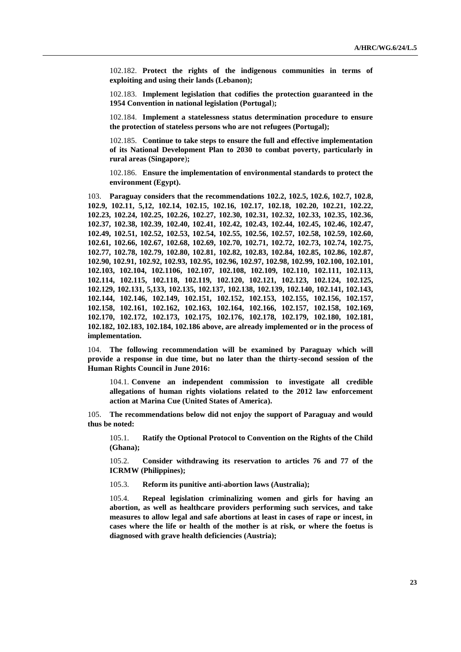102.182. **Protect the rights of the indigenous communities in terms of exploiting and using their lands (Lebanon);**

102.183. **Implement legislation that codifies the protection guaranteed in the 1954 Convention in national legislation (Portugal**)**;**

102.184. **Implement a statelessness status determination procedure to ensure the protection of stateless persons who are not refugees (Portugal);**

102.185. **Continue to take steps to ensure the full and effective implementation of its National Development Plan to 2030 to combat poverty, particularly in rural areas (Singapore**)**;**

102.186. **Ensure the implementation of environmental standards to protect the environment (Egypt).**

103. **Paraguay considers that the recommendations 102.2, 102.5, 102.6, 102.7, 102.8, 102.9, 102.11, 5,12, 102.14, 102.15, 102.16, 102.17, 102.18, 102.20, 102.21, 102.22, 102.23, 102.24, 102.25, 102.26, 102.27, 102.30, 102.31, 102.32, 102.33, 102.35, 102.36, 102.37, 102.38, 102.39, 102.40, 102.41, 102.42, 102.43, 102.44, 102.45, 102.46, 102.47, 102.49, 102.51, 102.52, 102.53, 102.54, 102.55, 102.56, 102.57, 102.58, 102.59, 102.60, 102.61, 102.66, 102.67, 102.68, 102.69, 102.70, 102.71, 102.72, 102.73, 102.74, 102.75, 102.77, 102.78, 102.79, 102.80, 102.81, 102.82, 102.83, 102.84, 102.85, 102.86, 102.87, 102.90, 102.91, 102.92, 102.93, 102.95, 102.96, 102.97, 102.98, 102.99, 102.100, 102.101, 102.103, 102.104, 102.1106, 102.107, 102.108, 102.109, 102.110, 102.111, 102.113, 102.114, 102.115, 102.118, 102.119, 102.120, 102.121, 102.123, 102.124, 102.125, 102.129, 102.131, 5,133, 102.135, 102.137, 102.138, 102.139, 102.140, 102.141, 102.143, 102.144, 102.146, 102.149, 102.151, 102.152, 102.153, 102.155, 102.156, 102.157, 102.158, 102.161, 102.162, 102.163, 102.164, 102.166, 102.157, 102.158, 102.169, 102.170, 102.172, 102.173, 102.175, 102.176, 102.178, 102.179, 102.180, 102.181, 102.182, 102.183, 102.184, 102.186 above, are already implemented or in the process of implementation.**

104. **The following recommendation will be examined by Paraguay which will provide a response in due time, but no later than the thirty-second session of the Human Rights Council in June 2016:**

104.1. **Convene an independent commission to investigate all credible allegations of human rights violations related to the 2012 law enforcement action at Marina Cue (United States of America).**

105. **The recommendations below did not enjoy the support of Paraguay and would thus be noted:**

105.1. **Ratify the Optional Protocol to Convention on the Rights of the Child (Ghana);**

105.2. **Consider withdrawing its reservation to articles 76 and 77 of the ICRMW (Philippines);**

105.3. **Reform its punitive anti-abortion laws (Australia);**

105.4. **Repeal legislation criminalizing women and girls for having an abortion, as well as healthcare providers performing such services, and take measures to allow legal and safe abortions at least in cases of rape or incest, in cases where the life or health of the mother is at risk, or where the foetus is diagnosed with grave health deficiencies (Austria);**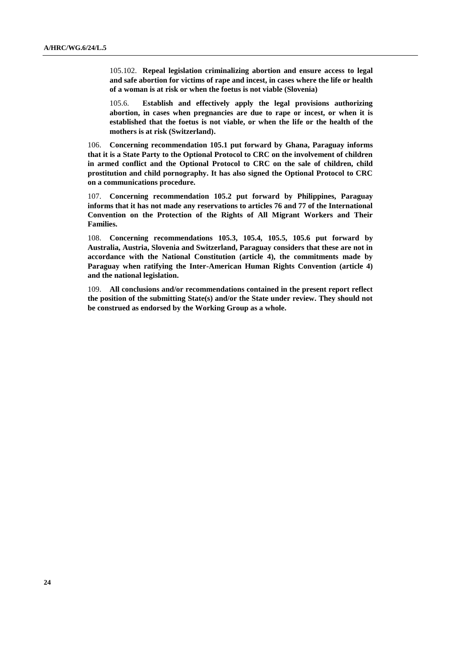105.102. **Repeal legislation criminalizing abortion and ensure access to legal and safe abortion for victims of rape and incest, in cases where the life or health of a woman is at risk or when the foetus is not viable (Slovenia)**

105.6. **Establish and effectively apply the legal provisions authorizing abortion, in cases when pregnancies are due to rape or incest, or when it is established that the foetus is not viable, or when the life or the health of the mothers is at risk (Switzerland).**

106. **Concerning recommendation 105.1 put forward by Ghana, Paraguay informs that it is a State Party to the Optional Protocol to CRC on the involvement of children in armed conflict and the Optional Protocol to CRC on the sale of children, child prostitution and child pornography. It has also signed the Optional Protocol to CRC on a communications procedure.**

107. **Concerning recommendation 105.2 put forward by Philippines, Paraguay informs that it has not made any reservations to articles 76 and 77 of the International Convention on the Protection of the Rights of All Migrant Workers and Their Families.**

108. **Concerning recommendations 105.3, 105.4, 105.5, 105.6 put forward by Australia, Austria, Slovenia and Switzerland, Paraguay considers that these are not in accordance with the National Constitution (article 4), the commitments made by Paraguay when ratifying the Inter-American Human Rights Convention (article 4) and the national legislation.**

109. **All conclusions and/or recommendations contained in the present report reflect the position of the submitting State(s) and/or the State under review. They should not be construed as endorsed by the Working Group as a whole.**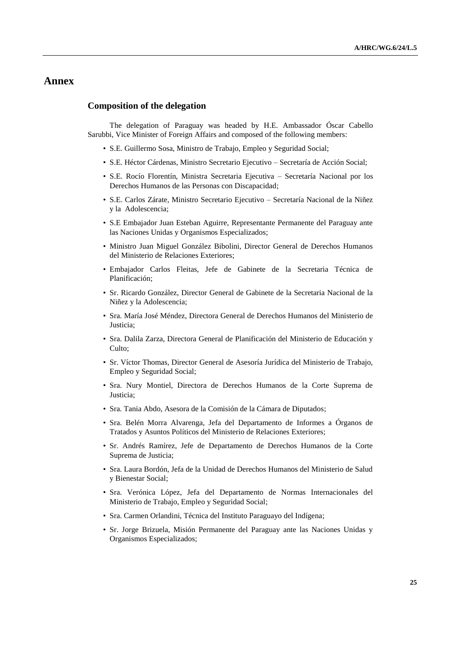## **Annex**

#### **Composition of the delegation**

The delegation of Paraguay was headed by H.E. Ambassador Óscar Cabello Sarubbi, Vice Minister of Foreign Affairs and composed of the following members:

- S.E. Guillermo Sosa, Ministro de Trabajo, Empleo y Seguridad Social;
- S.E. Héctor Cárdenas, Ministro Secretario Ejecutivo Secretaría de Acción Social;
- S.E. Rocío Florentín, Ministra Secretaria Ejecutiva Secretaría Nacional por los Derechos Humanos de las Personas con Discapacidad;
- S.E. Carlos Zárate, Ministro Secretario Ejecutivo Secretaría Nacional de la Niñez y la Adolescencia;
- S.E Embajador Juan Esteban Aguirre, Representante Permanente del Paraguay ante las Naciones Unidas y Organismos Especializados;
- Ministro Juan Miguel González Bibolini, Director General de Derechos Humanos del Ministerio de Relaciones Exteriores;
- Embajador Carlos Fleitas, Jefe de Gabinete de la Secretaria Técnica de Planificación;
- Sr. Ricardo González, Director General de Gabinete de la Secretaria Nacional de la Niñez y la Adolescencia;
- Sra. María José Méndez, Directora General de Derechos Humanos del Ministerio de Justicia;
- Sra. Dalila Zarza, Directora General de Planificación del Ministerio de Educación y Culto;
- Sr. Víctor Thomas, Director General de Asesoría Jurídica del Ministerio de Trabajo, Empleo y Seguridad Social;
- Sra. Nury Montiel, Directora de Derechos Humanos de la Corte Suprema de Justicia;
- Sra. Tania Abdo, Asesora de la Comisión de la Cámara de Diputados;
- Sra. Belén Morra Alvarenga, Jefa del Departamento de Informes a Órganos de Tratados y Asuntos Políticos del Ministerio de Relaciones Exteriores;
- Sr. Andrés Ramírez, Jefe de Departamento de Derechos Humanos de la Corte Suprema de Justicia;
- Sra. Laura Bordón, Jefa de la Unidad de Derechos Humanos del Ministerio de Salud y Bienestar Social;
- Sra. Verónica López, Jefa del Departamento de Normas Internacionales del Ministerio de Trabajo, Empleo y Seguridad Social;
- Sra. Carmen Orlandini, Técnica del Instituto Paraguayo del Indígena;
- Sr. Jorge Brizuela, Misión Permanente del Paraguay ante las Naciones Unidas y Organismos Especializados;